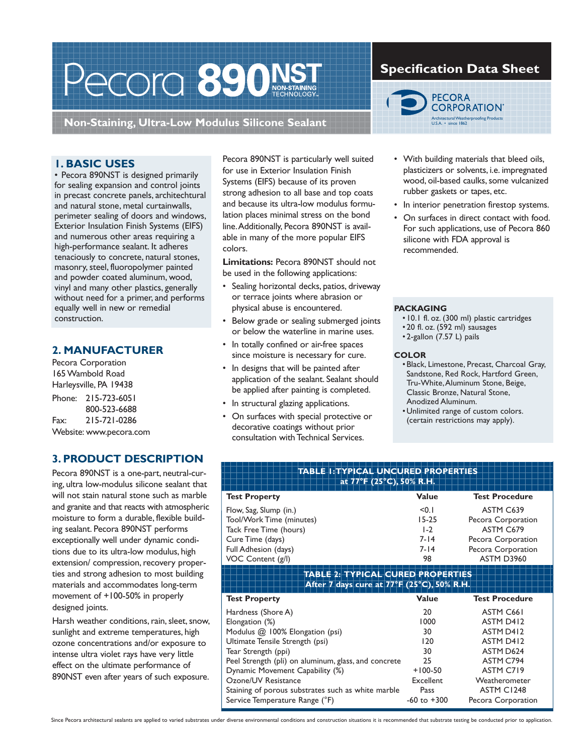# Pecora 890 NSTAND

**Non-Staining, Ultra-Low Modulus Silicone Sealant**

### **1. BASIC USES**

• Pecora 890NST is designed primarily for sealing expansion and control joints in precast concrete panels, architechtural and natural stone, metal curtainwalls, perimeter sealing of doors and windows, Exterior Insulation Finish Systems (EIFS) and numerous other areas requiring a high-performance sealant. It adheres tenaciously to concrete, natural stones, masonry, steel, fluoropolymer painted and powder coated aluminum, wood, vinyl and many other plastics, generally without need for a primer, and performs equally well in new or remedial construction.

### **2. MANUFACTURER**

Pecora Corporation 165 Wambold Road Harleysville, PA 19438 Phone: 215-723-6051 800-523-6688 Fax: 215-721-0286 Website: www.pecora.com

### **3. PRODUCT DESCRIPTION**

Pecora 890NST is a one-part, neutral-curing, ultra low-modulus silicone sealant that will not stain natural stone such as marble and granite and that reacts with atmospheric moisture to form a durable, flexible building sealant. Pecora 890NST performs exceptionally well under dynamic conditions due to its ultra-low modulus, high extension/ compression, recovery properties and strong adhesion to most building materials and accommodates long-term movement of +100-50% in properly designed joints.

Harsh weather conditions, rain, sleet, snow, sunlight and extreme temperatures, high ozone concentrations and/or exposure to intense ultra violet rays have very little effect on the ultimate performance of 890NST even after years of such exposure.

Pecora 890NST is particularly well suited for use in Exterior Insulation Finish Systems (EIFS) because of its proven strong adhesion to all base and top coats and because its ultra-low modulus formulation places minimal stress on the bond line. Additionally, Pecora 890NST is available in many of the more popular EIFS colors.

**Limitations:** Pecora 890NST should not be used in the following applications:

- Sealing horizontal decks, patios, driveway or terrace joints where abrasion or physical abuse is encountered.
- Below grade or sealing submerged joints or below the waterline in marine uses.
- In totally confined or air-free spaces since moisture is necessary for cure.
- In designs that will be painted after application of the sealant. Sealant should be applied after painting is completed.
- In structural glazing applications.
- On surfaces with special protective or decorative coatings without prior consultation with Technical Services.

### **Specification Data Sheet**



- With building materials that bleed oils, plasticizers or solvents, i.e. impregnated wood, oil-based caulks, some vulcanized rubber gaskets or tapes, etc.
- In interior penetration firestop systems.
- On surfaces in direct contact with food. For such applications, use of Pecora 860 silicone with FDA approval is recommended.

### **PACKAGING**

- 10.1 fl. oz. (300 ml) plastic cartridges
- 20 fl. oz. (592 ml) sausages
- 2-gallon (7.57 L) pails

### **COLOR**

- Black, Limestone, Precast, Charcoal Gray, Sandstone, Red Rock, Hartford Green, Tru-White, Aluminum Stone, Beige, Classic Bronze, Natural Stone, Anodized Aluminum.
- Unlimited range of custom colors. (certain restrictions may apply).

| at 77°F (25°C), 50% R.H.                                                        | <b>TABLE I: TYPICAL UNCURED PROPERTIES</b> |                       |
|---------------------------------------------------------------------------------|--------------------------------------------|-----------------------|
| <b>Test Property</b>                                                            | Value                                      | <b>Test Procedure</b> |
| Flow, Sag, Slump (in.)                                                          | < 0.1                                      | ASTM C639             |
| Tool/Work Time (minutes)                                                        | $15-25$                                    | Pecora Corporation    |
| Tack Free Time (hours)                                                          | $1-2$                                      | ASTM C679             |
| Cure Time (days)                                                                | $7 - 14$                                   | Pecora Corporation    |
| Full Adhesion (days)                                                            | $7 - 14$                                   | Pecora Corporation    |
| VOC Content (g/l)                                                               | 98                                         | <b>ASTM D3960</b>     |
| TABLE 2: TYPICAL CURED PROPERTIES<br>After 7 days cure at 77°F (25°C), 50% R.H. |                                            |                       |
| <b>Test Property</b>                                                            | Value                                      | <b>Test Procedure</b> |
| Hardness (Shore A)                                                              | 20                                         | ASTM C <sub>66</sub>  |
| Elongation (%)                                                                  | 1000                                       | ASTM D412             |
| Modulus @ 100% Elongation (psi)                                                 | 30                                         | ASTM D412             |
| Ultimate Tensile Strength (psi)                                                 | 120                                        | ASTM D412             |
| Tear Strength (ppi)                                                             | 30                                         | ASTM D624             |
| Peel Strength (pli) on aluminum, glass, and concrete                            | 25                                         | ASTM C794             |
| Dynamic Movement Capability (%)                                                 | $+100-50$                                  | ASTM C719             |
| Ozone/UV Resistance                                                             | Excellent                                  | Weatherometer         |
|                                                                                 | Pass                                       | ASTM C1248            |
| Staining of porous substrates such as white marble                              |                                            |                       |

Since Pecora architectural sealants are applied to varied substrates under diverse environmental conditions and construction situations it is recommended that substrate testing be conducted prior to application.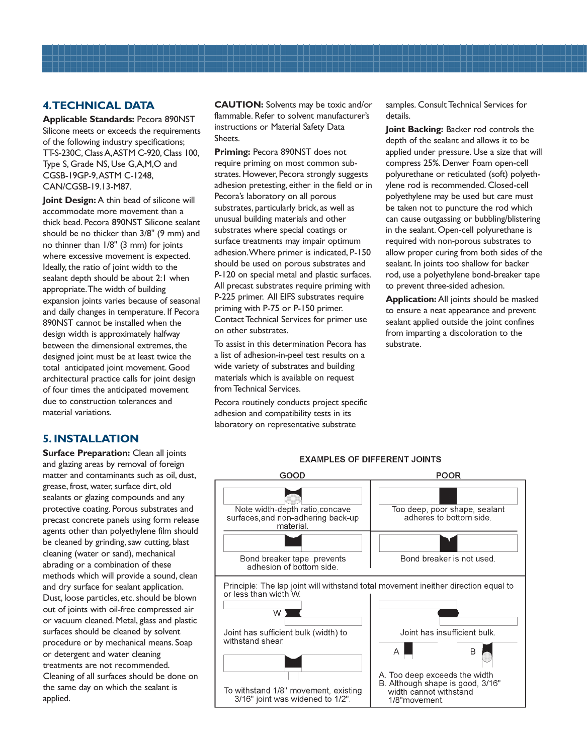### **4. TECHNICAL DATA**

**Applicable Standards:** Pecora 890NST Silicone meets or exceeds the requirements of the following industry specifications; TT-S-230C, Class A, ASTM C-920, Class 100, Type S, Grade NS, Use G,A,M,O and CGSB-19GP-9, ASTM C-1248, CAN/CGSB-19.13-M87.

**Joint Design:** A thin bead of silicone will accommodate more movement than a thick bead. Pecora 890NST Silicone sealant should be no thicker than 3/8" (9 mm) and no thinner than 1/8" (3 mm) for joints where excessive movement is expected. Ideally, the ratio of joint width to the sealant depth should be about 2:1 when appropriate. The width of building expansion joints varies because of seasonal and daily changes in temperature. If Pecora 890NST cannot be installed when the design width is approximately halfway between the dimensional extremes, the designed joint must be at least twice the total anticipated joint movement. Good architectural practice calls for joint design of four times the anticipated movement due to construction tolerances and material variations.

### **5. INSTALLATION**

**Surface Preparation:** Clean all joints and glazing areas by removal of foreign matter and contaminants such as oil, dust, grease, frost, water, surface dirt, old sealants or glazing compounds and any protective coating. Porous substrates and precast concrete panels using form release agents other than polyethylene film should be cleaned by grinding, saw cutting, blast cleaning (water or sand), mechanical abrading or a combination of these methods which will provide a sound, clean and dry surface for sealant application. Dust, loose particles, etc. should be blown out of joints with oil-free compressed air or vacuum cleaned. Metal, glass and plastic surfaces should be cleaned by solvent procedure or by mechanical means. Soap or detergent and water cleaning treatments are not recommended. Cleaning of all surfaces should be done on the same day on which the sealant is applied.

**CAUTION:** Solvents may be toxic and/or flammable. Refer to solvent manufacturer's instructions or Material Safety Data Sheets.

**Priming:** Pecora 890NST does not require priming on most common substrates. However, Pecora strongly suggests adhesion pretesting, either in the field or in Pecora's laboratory on all porous substrates, particularly brick, as well as unusual building materials and other substrates where special coatings or surface treatments may impair optimum adhesion. Where primer is indicated, P-150 should be used on porous substrates and P-120 on special metal and plastic surfaces. All precast substrates require priming with P-225 primer. All EIFS substrates require priming with P-75 or P-150 primer. Contact Technical Services for primer use on other substrates.

To assist in this determination Pecora has a list of adhesion-in-peel test results on a wide variety of substrates and building materials which is available on request from Technical Services.

Pecora routinely conducts project specific adhesion and compatibility tests in its laboratory on representative substrate

samples. Consult Technical Services for details.

**Joint Backing:** Backer rod controls the depth of the sealant and allows it to be applied under pressure. Use a size that will compress 25%. Denver Foam open-cell polyurethane or reticulated (soft) polyethylene rod is recommended. Closed-cell polyethylene may be used but care must be taken not to puncture the rod which can cause outgassing or bubbling/blistering in the sealant. Open-cell polyurethane is required with non-porous substrates to allow proper curing from both sides of the sealant. In joints too shallow for backer rod, use a polyethylene bond-breaker tape to prevent three-sided adhesion.

**Application:** All joints should be masked to ensure a neat appearance and prevent sealant applied outside the joint confines from imparting a discoloration to the substrate.



### **EXAMPLES OF DIFFERENT JOINTS**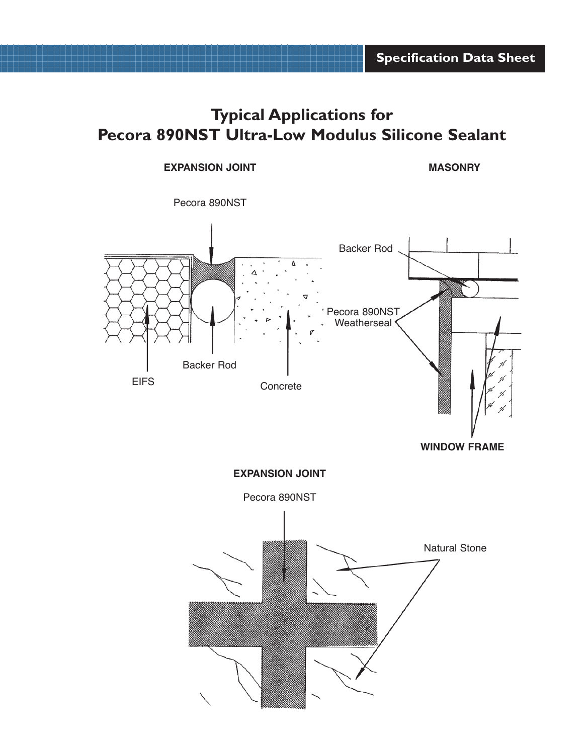# **Typical Applications for Pecora 890NST Ultra-Low Modulus Silicone Sealant**

### **EXPANSION JOINT**

**MASONRY**